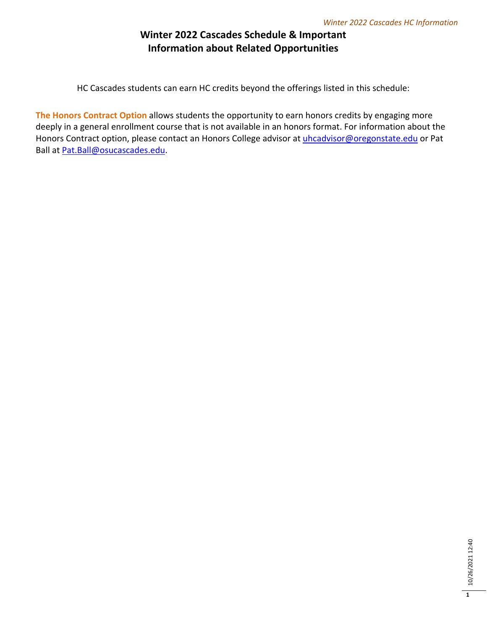## **Winter 2022 Cascades Schedule & Important Information about Related Opportunities**

HC Cascades students can earn HC credits beyond the offerings listed in this schedule:

**The Honors Contract Option** allows students the opportunity to earn honors credits by engaging more deeply in a general enrollment course that is not available in an honors format. For information about the Honors Contract option, please contact an Honors College advisor at [uhcadvisor@oregonstate.edu](mailto:uhcadvisor@oregonstate.edu) or Pat Ball at [Pat.Ball@osucascades.edu.](mailto:Pat.Ball@osucascades.edu)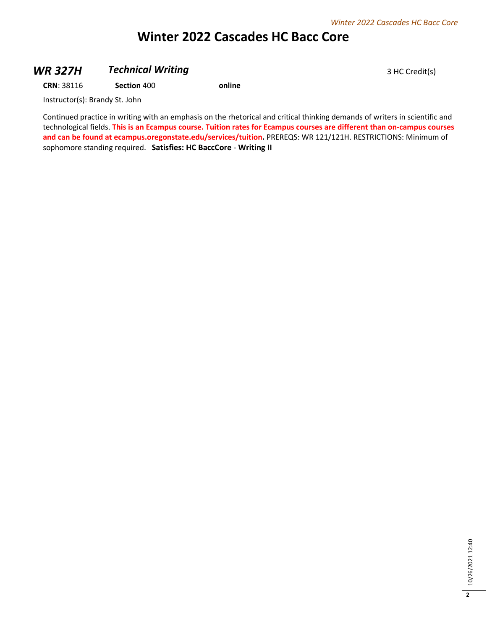# **Winter 2022 Cascades HC Bacc Core**

### **WR 327H** *Technical Writing* 3 HC Credit(s)

**CRN**: 38116 **Section** 400 **online**

Instructor(s): Brandy St. John

Continued practice in writing with an emphasis on the rhetorical and critical thinking demands of writers in scientific and technological fields. **This is an Ecampus course. Tuition rates for Ecampus courses are different than on-campus courses and can be found at ecampus.oregonstate.edu/services/tuition.** PREREQS: WR 121/121H. RESTRICTIONS: Minimum of sophomore standing required. **Satisfies: HC BaccCore** - **Writing II**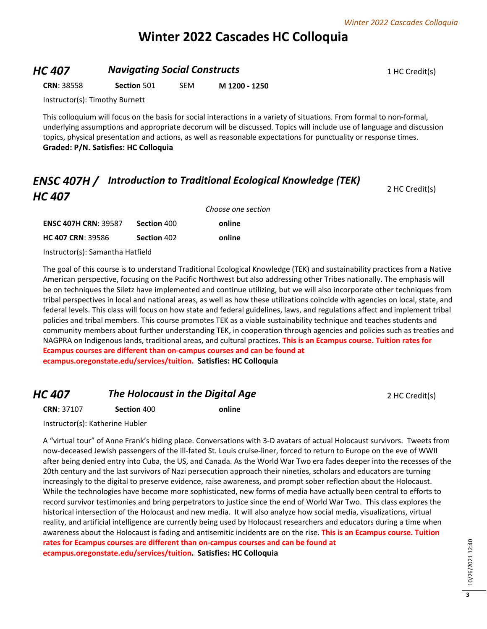# **Winter 2022 Cascades HC Colloquia**

#### **HC 407 Navigating Social Constructs 1 HC Credit(s)** 1 HC Credit(s)

**CRN**: 38558 **Section** 501 SEM **M 1200 - 1250**

Instructor(s): Timothy Burnett

This colloquium will focus on the basis for social interactions in a variety of situations. From formal to non-formal, underlying assumptions and appropriate decorum will be discussed. Topics will include use of language and discussion topics, physical presentation and actions, as well as reasonable expectations for punctuality or response times. **Graded: P/N. Satisfies: HC Colloquia**

# *ENSC 407H / Introduction to Traditional Ecological Knowledge (TEK) HC 407*

|                             |             | Choose one section |  |
|-----------------------------|-------------|--------------------|--|
| <b>ENSC 407H CRN: 39587</b> | Section 400 | online             |  |
| <b>HC 407 CRN: 39586</b>    | Section 402 | online             |  |

Instructor(s): Samantha Hatfield

The goal of this course is to understand Traditional Ecological Knowledge (TEK) and sustainability practices from a Native American perspective, focusing on the Pacific Northwest but also addressing other Tribes nationally. The emphasis will be on techniques the Siletz have implemented and continue utilizing, but we will also incorporate other techniques from tribal perspectives in local and national areas, as well as how these utilizations coincide with agencies on local, state, and federal levels. This class will focus on how state and federal guidelines, laws, and regulations affect and implement tribal policies and tribal members. This course promotes TEK as a viable sustainability technique and teaches students and community members about further understanding TEK, in cooperation through agencies and policies such as treaties and NAGPRA on Indigenous lands, traditional areas, and cultural practices. **This is an Ecampus course. Tuition rates for Ecampus courses are different than on-campus courses and can be found at ecampus.oregonstate.edu/services/tuition. Satisfies: HC Colloquia**

## *HC 407* **The Holocaust in the Digital Age** 2 HC Credit(s)

2 HC Credit(s)

**CRN**: 37107 **Section** 400 **online**

Instructor(s): Katherine Hubler

A "virtual tour" of Anne Frank's hiding place. Conversations with 3-D avatars of actual Holocaust survivors. Tweets from now-deceased Jewish passengers of the ill-fated St. Louis cruise-liner, forced to return to Europe on the eve of WWII after being denied entry into Cuba, the US, and Canada. As the World War Two era fades deeper into the recesses of the 20th century and the last survivors of Nazi persecution approach their nineties, scholars and educators are turning increasingly to the digital to preserve evidence, raise awareness, and prompt sober reflection about the Holocaust. While the technologies have become more sophisticated, new forms of media have actually been central to efforts to record survivor testimonies and bring perpetrators to justice since the end of World War Two. This class explores the historical intersection of the Holocaust and new media. It will also analyze how social media, visualizations, virtual reality, and artificial intelligence are currently being used by Holocaust researchers and educators during a time when awareness about the Holocaust is fading and antisemitic incidents are on the rise. **This is an Ecampus course. Tuition rates for Ecampus courses are different than on-campus courses and can be found at ecampus.oregonstate.edu/services/tuition. Satisfies: HC Colloquia**

10/26/2021 12:40 10/26/2021 12:40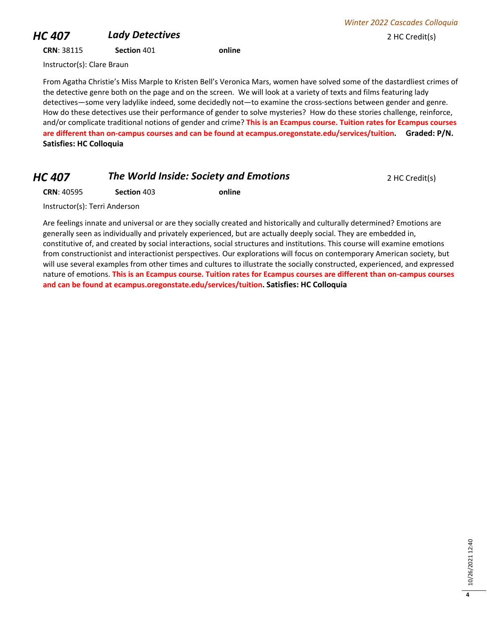# **HC 407 Lady Detectives 2 HC Credit(s)**

**CRN**: 38115 **Section** 401 **online**

*Winter 2022 Cascades Colloquia*

Instructor(s): Clare Braun

From Agatha Christie's Miss Marple to Kristen Bell's Veronica Mars, women have solved some of the dastardliest crimes of the detective genre both on the page and on the screen. We will look at a variety of texts and films featuring lady detectives—some very ladylike indeed, some decidedly not—to examine the cross-sections between gender and genre. How do these detectives use their performance of gender to solve mysteries? How do these stories challenge, reinforce, and/or complicate traditional notions of gender and crime? **This is an Ecampus course. Tuition rates for Ecampus courses are different than on-campus courses and can be found at ecampus.oregonstate.edu/services/tuition. Graded: P/N. Satisfies: HC Colloquia**

# *HC 407* **The World Inside: Society and Emotions 2 HC Credit(s)**

**CRN**: 40595 **Section** 403 **online**

Instructor(s): Terri Anderson

Are feelings innate and universal or are they socially created and historically and culturally determined? Emotions are generally seen as individually and privately experienced, but are actually deeply social. They are embedded in, constitutive of, and created by social interactions, social structures and institutions. This course will examine emotions from constructionist and interactionist perspectives. Our explorations will focus on contemporary American society, but will use several examples from other times and cultures to illustrate the socially constructed, experienced, and expressed nature of emotions. **This is an Ecampus course. Tuition rates for Ecampus courses are different than on-campus courses and can be found at ecampus.oregonstate.edu/services/tuition. Satisfies: HC Colloquia**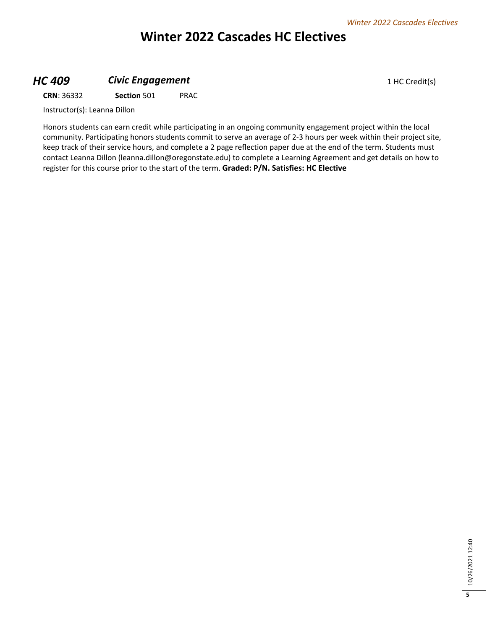# **Winter 2022 Cascades HC Electives**

## **HC 409 Civic Engagement Civic Engagement** 1 HC Credit(s)

**CRN**: 36332 **Section** 501 PRAC

Instructor(s): Leanna Dillon

Honors students can earn credit while participating in an ongoing community engagement project within the local community. Participating honors students commit to serve an average of 2-3 hours per week within their project site, keep track of their service hours, and complete a 2 page reflection paper due at the end of the term. Students must contact Leanna Dillon (leanna.dillon@oregonstate.edu) to complete a Learning Agreement and get details on how to register for this course prior to the start of the term. **Graded: P/N. Satisfies: HC Elective**